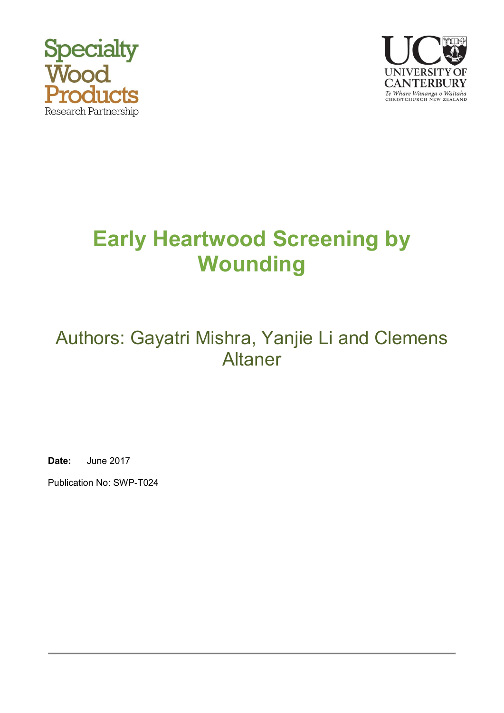



# **Early Heartwood Screening by Wounding**

## Authors: Gayatri Mishra, Yanjie Li and Clemens Altaner

**Date:** June 2017

Publication No: SWP-T024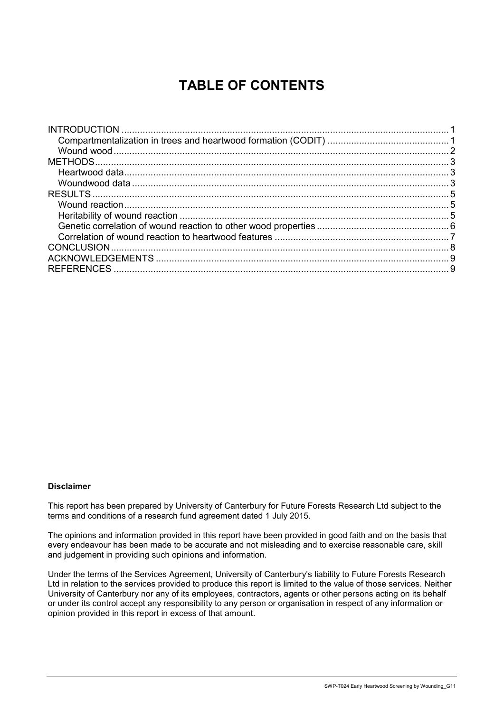## **TABLE OF CONTENTS**

#### **Disclaimer**

This report has been prepared by University of Canterbury for Future Forests Research Ltd subject to the terms and conditions of a research fund agreement dated 1 July 2015.

The opinions and information provided in this report have been provided in good faith and on the basis that every endeavour has been made to be accurate and not misleading and to exercise reasonable care, skill and judgement in providing such opinions and information.

Under the terms of the Services Agreement, University of Canterbury's liability to Future Forests Research Ltd in relation to the services provided to produce this report is limited to the value of those services. Neither University of Canterbury nor any of its employees, contractors, agents or other persons acting on its behalf or under its control accept any responsibility to any person or organisation in respect of any information or opinion provided in this report in excess of that amount.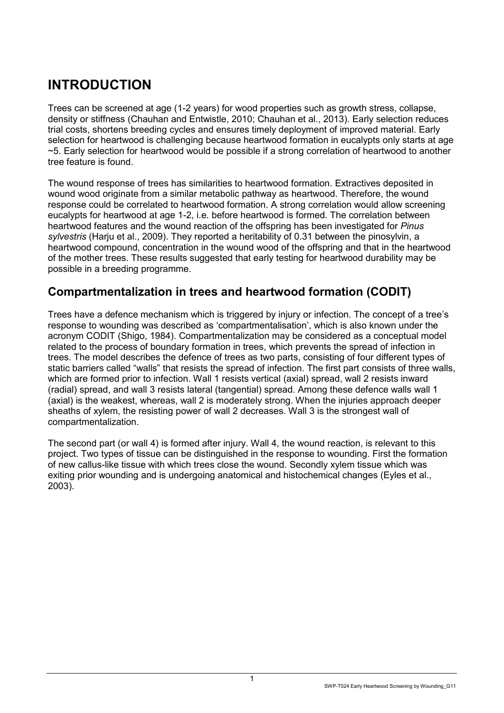## <span id="page-2-0"></span>**INTRODUCTION**

Trees can be screened at age (1-2 years) for wood properties such as growth stress, collapse, density or stiffness (Chauhan and Entwistle, 2010; Chauhan et al., 2013). Early selection reduces trial costs, shortens breeding cycles and ensures timely deployment of improved material. Early selection for heartwood is challenging because heartwood formation in eucalypts only starts at age ~5. Early selection for heartwood would be possible if a strong correlation of heartwood to another tree feature is found.

The wound response of trees has similarities to heartwood formation. Extractives deposited in wound wood originate from a similar metabolic pathway as heartwood. Therefore, the wound response could be correlated to heartwood formation. A strong correlation would allow screening eucalypts for heartwood at age 1-2, i.e. before heartwood is formed. The correlation between heartwood features and the wound reaction of the offspring has been investigated for *Pinus sylvestris* (Harju et al., 2009). They reported a heritability of 0.31 between the pinosylvin, a heartwood compound, concentration in the wound wood of the offspring and that in the heartwood of the mother trees. These results suggested that early testing for heartwood durability may be possible in a breeding programme.

#### <span id="page-2-1"></span>**Compartmentalization in trees and heartwood formation (CODIT)**

Trees have a defence mechanism which is triggered by injury or infection. The concept of a tree's response to wounding was described as 'compartmentalisation', which is also known under the acronym CODIT (Shigo, 1984). Compartmentalization may be considered as a conceptual model related to the process of boundary formation in trees, which prevents the spread of infection in trees. The model describes the defence of trees as two parts, consisting of four different types of static barriers called "walls" that resists the spread of infection. The first part consists of three walls, which are formed prior to infection. Wall 1 resists vertical (axial) spread, wall 2 resists inward (radial) spread, and wall 3 resists lateral (tangential) spread. Among these defence walls wall 1 (axial) is the weakest, whereas, wall 2 is moderately strong. When the injuries approach deeper sheaths of xylem, the resisting power of wall 2 decreases. Wall 3 is the strongest wall of compartmentalization.

<span id="page-2-2"></span>The second part (or wall 4) is formed after injury. Wall 4, the wound reaction, is relevant to this project. Two types of tissue can be distinguished in the response to wounding. First the formation of new callus-like tissue with which trees close the wound. Secondly xylem tissue which was exiting prior wounding and is undergoing anatomical and histochemical changes (Eyles et al., 2003).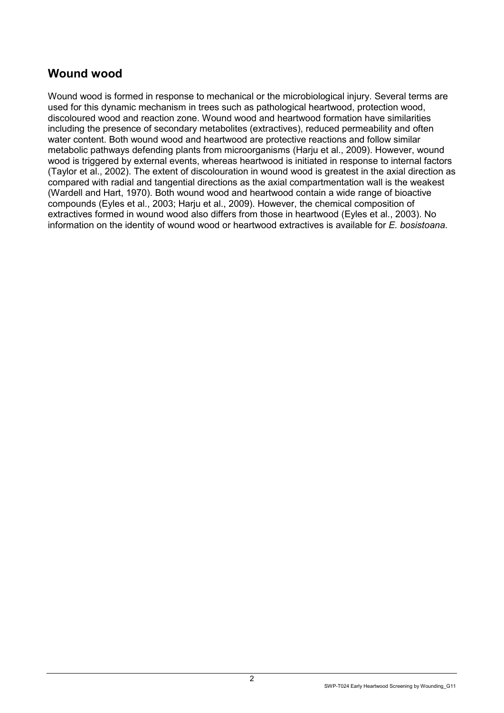#### **Wound wood**

Wound wood is formed in response to mechanical or the microbiological injury. Several terms are used for this dynamic mechanism in trees such as pathological heartwood, protection wood, discoloured wood and reaction zone. Wound wood and heartwood formation have similarities including the presence of secondary metabolites (extractives), reduced permeability and often water content. Both wound wood and heartwood are protective reactions and follow similar metabolic pathways defending plants from microorganisms (Harju et al., 2009). However, wound wood is triggered by external events, whereas heartwood is initiated in response to internal factors (Taylor et al., 2002). The extent of discolouration in wound wood is greatest in the axial direction as compared with radial and tangential directions as the axial compartmentation wall is the weakest (Wardell and Hart, 1970). Both wound wood and heartwood contain a wide range of bioactive compounds (Eyles et al., 2003; Harju et al., 2009). However, the chemical composition of extractives formed in wound wood also differs from those in heartwood (Eyles et al., 2003). No information on the identity of wound wood or heartwood extractives is available for *E. bosistoana*.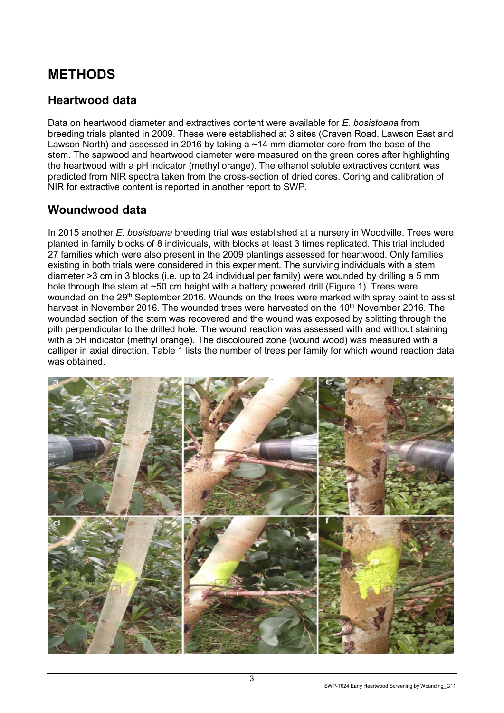### <span id="page-4-0"></span>**METHODS**

#### <span id="page-4-1"></span>**Heartwood data**

Data on heartwood diameter and extractives content were available for *E. bosistoana* from breeding trials planted in 2009. These were established at 3 sites (Craven Road, Lawson East and Lawson North) and assessed in 2016 by taking a ~14 mm diameter core from the base of the stem. The sapwood and heartwood diameter were measured on the green cores after highlighting the heartwood with a pH indicator (methyl orange). The ethanol soluble extractives content was predicted from NIR spectra taken from the cross-section of dried cores. Coring and calibration of NIR for extractive content is reported in another report to SWP.

#### <span id="page-4-2"></span>**Woundwood data**

In 2015 another *E. bosistoana* breeding trial was established at a nursery in Woodville. Trees were planted in family blocks of 8 individuals, with blocks at least 3 times replicated. This trial included 27 families which were also present in the 2009 plantings assessed for heartwood. Only families existing in both trials were considered in this experiment. The surviving individuals with a stem diameter >3 cm in 3 blocks (i.e. up to 24 individual per family) were wounded by drilling a 5 mm hole through the stem at ~50 cm height with a battery powered drill (Figure 1). Trees were wounded on the 29<sup>th</sup> September 2016. Wounds on the trees were marked with spray paint to assist harvest in November 2016. The wounded trees were harvested on the 10<sup>th</sup> November 2016. The wounded section of the stem was recovered and the wound was exposed by splitting through the pith perpendicular to the drilled hole. The wound reaction was assessed with and without staining with a pH indicator (methyl orange). The discoloured zone (wound wood) was measured with a calliper in axial direction. Table 1 lists the number of trees per family for which wound reaction data was obtained.

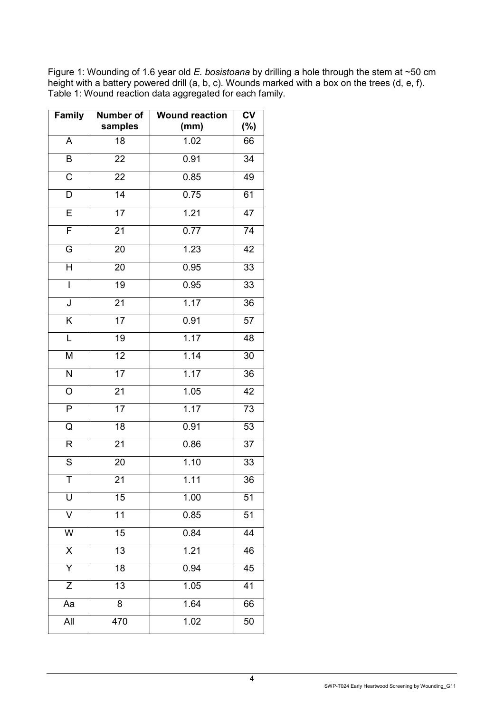Figure 1: Wounding of 1.6 year old *E. bosistoana* by drilling a hole through the stem at ~50 cm height with a battery powered drill (a, b, c). Wounds marked with a box on the trees (d, e, f). Table 1: Wound reaction data aggregated for each family.

| <b>Family</b>           | Number of<br>samples | <b>Wound reaction</b><br>(mm) | $\overline{\mathsf{cv}}$<br>$(\% )$ |
|-------------------------|----------------------|-------------------------------|-------------------------------------|
| A                       | 18                   | 1.02                          | 66                                  |
| $\sf B$                 | 22                   | 0.91                          | 34                                  |
| $\overline{\text{C}}$   | $\overline{22}$      | 0.85                          | 49                                  |
| D                       | $\overline{14}$      | 0.75                          | 61                                  |
| $\overline{E}$          | $\overline{17}$      | 1.21                          | $\overline{47}$                     |
| $\overline{F}$          | 21                   | 0.77                          | $\overline{74}$                     |
| G                       | 20                   | 1.23                          | 42                                  |
| $\overline{\mathsf{H}}$ | $\overline{20}$      | 0.95                          | $\overline{33}$                     |
| $\mathsf{I}$            | $\overline{19}$      | 0.95                          | 33                                  |
| $\overline{\mathsf{J}}$ | $\overline{21}$      | 1.17                          | $\overline{36}$                     |
| $\overline{\mathsf{K}}$ | 17                   | 0.91                          | 57                                  |
| L                       | $\overline{19}$      | 1.17                          | 48                                  |
| M                       | 12                   | 1.14                          | 30                                  |
| $\overline{\mathsf{N}}$ | $\overline{17}$      | 1.17                          | 36                                  |
| $\overline{O}$          | $\overline{21}$      | 1.05                          | 42                                  |
| $\overline{P}$          | $\overline{17}$      | 1.17                          | $\overline{73}$                     |
| Q                       | 18                   | 0.91                          | $\overline{53}$                     |
| R                       | 21                   | 0.86                          | 37                                  |
| $\overline{S}$          | 20                   | 1.10                          | 33                                  |
| $\overline{\mathsf{T}}$ | $\overline{2}1$      | $\overline{1.11}$             | 36                                  |
| U                       | 15                   | 1.00                          | 51                                  |
| V                       | $\overline{11}$      | 0.85                          | $\overline{51}$                     |
| W                       | 15                   | 0.84                          | 44                                  |
| $\overline{\mathsf{X}}$ | $\overline{13}$      | 1.21                          | 46                                  |
| $\overline{\mathsf{Y}}$ | $\overline{18}$      | 0.94                          | $\overline{45}$                     |
| $\overline{Z}$          | $\overline{13}$      | 1.05                          | $\overline{41}$                     |
| Aa                      | $\overline{8}$       | 1.64                          | 66                                  |
| $\overline{All}$        | 470                  | 1.02                          | 50                                  |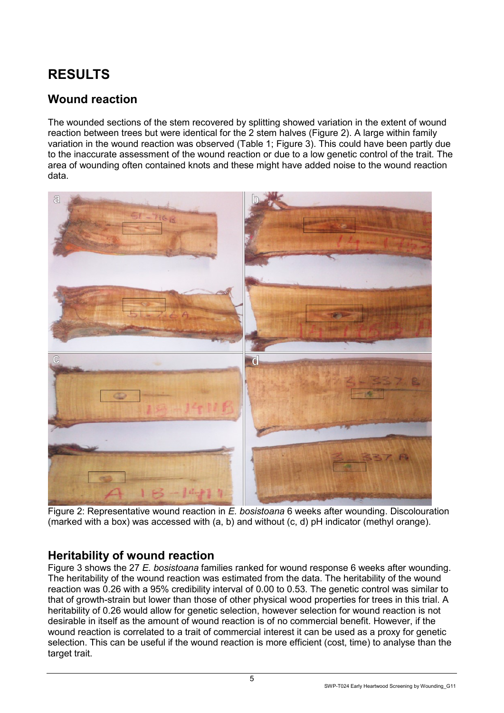## <span id="page-6-0"></span>**RESULTS**

#### <span id="page-6-1"></span>**Wound reaction**

The wounded sections of the stem recovered by splitting showed variation in the extent of wound reaction between trees but were identical for the 2 stem halves (Figure 2). A large within family variation in the wound reaction was observed (Table 1; Figure 3). This could have been partly due to the inaccurate assessment of the wound reaction or due to a low genetic control of the trait. The area of wounding often contained knots and these might have added noise to the wound reaction data.



Figure 2: Representative wound reaction in *E. bosistoana* 6 weeks after wounding. Discolouration (marked with a box) was accessed with (a, b) and without (c, d) pH indicator (methyl orange).

#### <span id="page-6-2"></span>**Heritability of wound reaction**

Figure 3 shows the 27 *E. bosistoana* families ranked for wound response 6 weeks after wounding. The heritability of the wound reaction was estimated from the data. The heritability of the wound reaction was 0.26 with a 95% credibility interval of 0.00 to 0.53. The genetic control was similar to that of growth-strain but lower than those of other physical wood properties for trees in this trial. A heritability of 0.26 would allow for genetic selection, however selection for wound reaction is not desirable in itself as the amount of wound reaction is of no commercial benefit. However, if the wound reaction is correlated to a trait of commercial interest it can be used as a proxy for genetic selection. This can be useful if the wound reaction is more efficient (cost, time) to analyse than the target trait.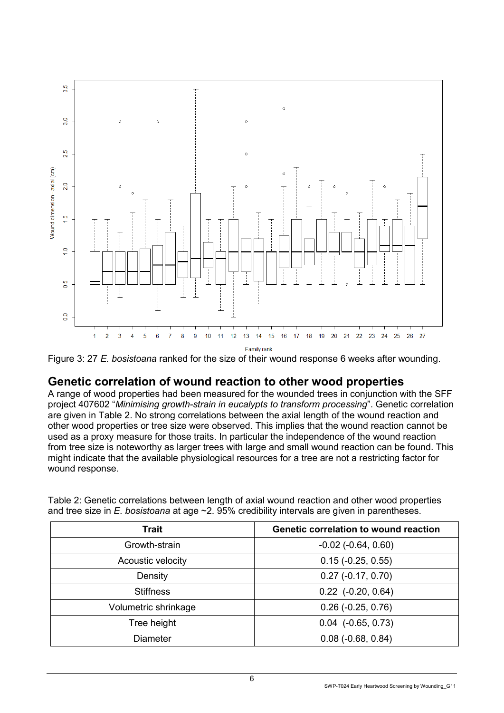

Figure 3: 27 *E. bosistoana* ranked for the size of their wound response 6 weeks after wounding.

#### <span id="page-7-0"></span>**Genetic correlation of wound reaction to other wood properties**

A range of wood properties had been measured for the wounded trees in conjunction with the SFF project 407602 "*Minimising growth-strain in eucalypts to transform processing*". Genetic correlation are given in Table 2. No strong correlations between the axial length of the wound reaction and other wood properties or tree size were observed. This implies that the wound reaction cannot be used as a proxy measure for those traits. In particular the independence of the wound reaction from tree size is noteworthy as larger trees with large and small wound reaction can be found. This might indicate that the available physiological resources for a tree are not a restricting factor for wound response.

| <b>Trait</b>         | <b>Genetic correlation to wound reaction</b> |
|----------------------|----------------------------------------------|
| Growth-strain        | $-0.02$ $(-0.64, 0.60)$                      |
| Acoustic velocity    | $0.15$ ( $-0.25$ , $0.55$ )                  |
| Density              | $0.27$ (-0.17, 0.70)                         |
| <b>Stiffness</b>     | $0.22$ (-0.20, 0.64)                         |
| Volumetric shrinkage | $0.26$ (-0.25, 0.76)                         |
| Tree height          | $0.04$ ( $-0.65, 0.73$ )                     |
| <b>Diameter</b>      | $0.08$ ( $-0.68$ , $0.84$ )                  |

Table 2: Genetic correlations between length of axial wound reaction and other wood properties and tree size in *E. bosistoana* at age ~2. 95% credibility intervals are given in parentheses.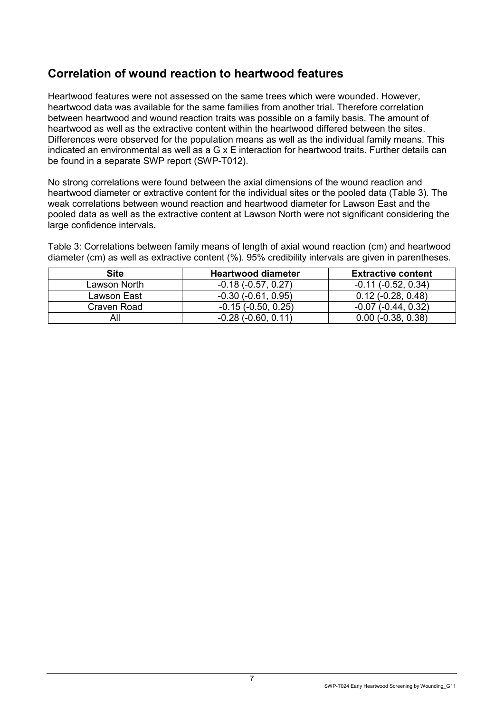#### <span id="page-8-0"></span>**Correlation of wound reaction to heartwood features**

Heartwood features were not assessed on the same trees which were wounded. However, heartwood data was available for the same families from another trial. Therefore correlation between heartwood and wound reaction traits was possible on a family basis. The amount of heartwood as well as the extractive content within the heartwood differed between the sites. Differences were observed for the population means as well as the individual family means. This indicated an environmental as well as a G x E interaction for heartwood traits. Further details can be found in a separate SWP report (SWP-T012).

No strong correlations were found between the axial dimensions of the wound reaction and heartwood diameter or extractive content for the individual sites or the pooled data (Table 3). The weak correlations between wound reaction and heartwood diameter for Lawson East and the pooled data as well as the extractive content at Lawson North were not significant considering the large confidence intervals.

Table 3: Correlations between family means of length of axial wound reaction (cm) and heartwood diameter (cm) as well as extractive content (%). 95% credibility intervals are given in parentheses.

<span id="page-8-1"></span>

| Site         | <b>Heartwood diameter</b>    | <b>Extractive content</b>    |
|--------------|------------------------------|------------------------------|
| Lawson North | $-0.18$ ( $-0.57$ , $0.27$ ) | $-0.11$ ( $-0.52$ , $0.34$ ) |
| Lawson East  | $-0.30$ $(-0.61, 0.95)$      | $0.12$ ( $-0.28$ , $0.48$ )  |
| Craven Road  | $-0.15$ ( $-0.50, 0.25$ )    | $-0.07$ ( $-0.44$ , $0.32$ ) |
| All          | $-0.28$ $(-0.60, 0.11)$      | $0.00$ ( $-0.38$ , $0.38$ )  |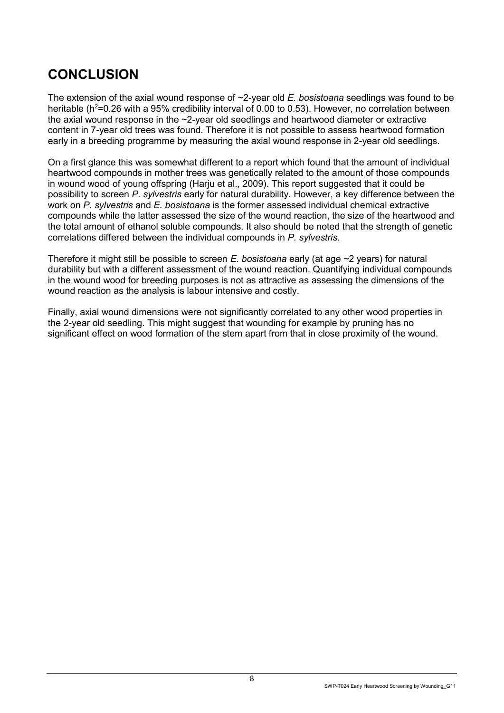## **CONCLUSION**

The extension of the axial wound response of ~2-year old *E. bosistoana* seedlings was found to be heritable ( $h^2$ =0.26 with a 95% credibility interval of 0.00 to 0.53). However, no correlation between the axial wound response in the ~2-year old seedlings and heartwood diameter or extractive content in 7-year old trees was found. Therefore it is not possible to assess heartwood formation early in a breeding programme by measuring the axial wound response in 2-year old seedlings.

On a first glance this was somewhat different to a report which found that the amount of individual heartwood compounds in mother trees was genetically related to the amount of those compounds in wound wood of young offspring (Harju et al., 2009). This report suggested that it could be possibility to screen *P. sylvestris* early for natural durability. However, a key difference between the work on *P. sylvestris* and *E. bosistoana* is the former assessed individual chemical extractive compounds while the latter assessed the size of the wound reaction, the size of the heartwood and the total amount of ethanol soluble compounds. It also should be noted that the strength of genetic correlations differed between the individual compounds in *P. sylvestris*.

Therefore it might still be possible to screen *E. bosistoana* early (at age ~2 years) for natural durability but with a different assessment of the wound reaction. Quantifying individual compounds in the wound wood for breeding purposes is not as attractive as assessing the dimensions of the wound reaction as the analysis is labour intensive and costly.

Finally, axial wound dimensions were not significantly correlated to any other wood properties in the 2-year old seedling. This might suggest that wounding for example by pruning has no significant effect on wood formation of the stem apart from that in close proximity of the wound.